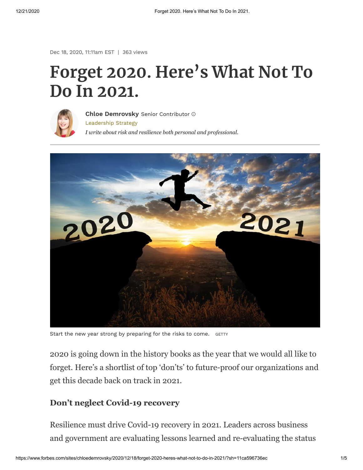Dec 18, 2020, 11:11am EST | 363 views

# **Forget 2020. Here's What Not To Do In 2021.**



[Leadership Strategy](https://www.forbes.com/leadership-strategy) *I write about risk and resilience both personal and professional.* **Chloe [Demrovsky](https://www.forbes.com/sites/chloedemrovsky/)** Senior Contributor



Start the new year strong by preparing for the risks to come. GETTY

2020 is going down in the history books as the year that we would all like to forget. Here's a shortlist of top 'don'ts' to future-proof our organizations and get this decade back on track in 2021.

### **Don't neglect Covid-19 recovery**

Resilience must drive Covid-19 recovery in 2021. Leaders across business and government are evaluating lessons learned and re-evaluating the status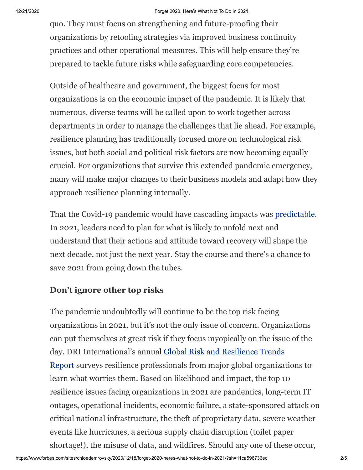#### 12/21/2020 Forget 2020. Here's What Not To Do In 2021.

quo. They must focus on strengthening and future-proofing their organizations by retooling strategies via improved business continuity practices and other operational measures. This will help ensure they're prepared to tackle future risks while safeguarding core competencies.

Outside of healthcare and government, the biggest focus for most organizations is on the economic impact of the pandemic. It is likely that numerous, diverse teams will be called upon to work together across departments in order to manage the challenges that lie ahead. For example, resilience planning has traditionally focused more on technological risk issues, but both social and political risk factors are now becoming equally crucial. For organizations that survive this extended pandemic emergency, many will make major changes to their business models and adapt how they approach resilience planning internally.

That the Covid-19 pandemic would have cascading impacts was [predictable.](https://www.forbes.com/sites/chloedemrovsky/2020/06/23/the-covid-19-domino-effect-whats-next/?sh=8b519111f9fb) In 2021, leaders need to plan for what is likely to unfold next and understand that their actions and attitude toward recovery will shape the next decade, not just the next year. Stay the course and there's a chance to save 2021 from going down the tubes.

## **Don't ignore other top risks**

The pandemic undoubtedly will continue to be the top risk facing organizations in 2021, but it's not the only issue of concern. Organizations can put themselves at great risk if they focus myopically on the issue of the [day. DRI International's annual Global Risk and Resilience Trends](https://drive.drii.org/2020/12/18/download-the-6th-annual-global-risk-and-resilience-trends-report/) Report surveys resilience professionals from major global organizations to learn what worries them. Based on likelihood and impact, the top 10 resilience issues facing organizations in 2021 are pandemics, long-term IT outages, operational incidents, economic failure, a state-sponsored attack on critical national infrastructure, the theft of proprietary data, severe weather events like hurricanes, a serious supply chain disruption (toilet paper shortage!), the misuse of data, and wildfires. Should any one of these occur,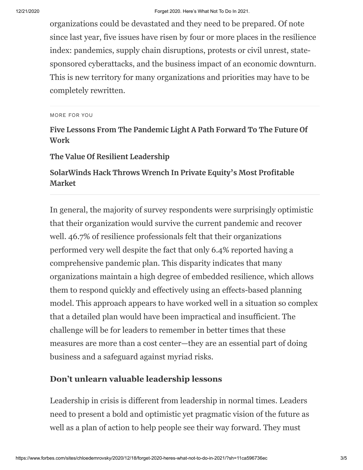#### 12/21/2020 Forget 2020. Here's What Not To Do In 2021.

organizations could be devastated and they need to be prepared. Of note since last year, five issues have risen by four or more places in the resilience index: pandemics, supply chain disruptions, protests or civil unrest, statesponsored cyberattacks, and the business impact of an economic downturn. This is new territory for many organizations and priorities may have to be completely rewritten.

MORE FOR YOU

## **[Five Lessons From The Pandemic Light A Path Forward To The Future Of](https://www.forbes.com/sites/deloitte/2020/11/18/five-lessons-from-the-pandemic-light-a-path-forward-to-the-future-of-work/) Work**

**[The Value Of Resilient Leadership](https://www.forbes.com/sites/deloitte/2020/11/04/the-value-of-resilient-leadership/)**

**[SolarWinds Hack Throws Wrench In Private Equity's Most Profitable](https://www.forbes.com/sites/antoinegara/2020/12/18/solarwinds-hack-throws-wrench-in-private-equitys-most-profitable-market/) Market**

In general, the majority of survey respondents were surprisingly optimistic that their organization would survive the current pandemic and recover well. 46.7% of resilience professionals felt that their organizations performed very well despite the fact that only 6.4% reported having a comprehensive pandemic plan. This disparity indicates that many organizations maintain a high degree of embedded resilience, which allows them to respond quickly and effectively using an effects-based planning model. This approach appears to have worked well in a situation so complex that a detailed plan would have been impractical and insufficient. The challenge will be for leaders to remember in better times that these measures are more than a cost center—they are an essential part of doing business and a safeguard against myriad risks.

### **Don't unlearn valuable leadership lessons**

Leadership in crisis is different from leadership in normal times. Leaders need to present a bold and optimistic yet pragmatic vision of the future as well as a plan of action to help people see their way forward. They must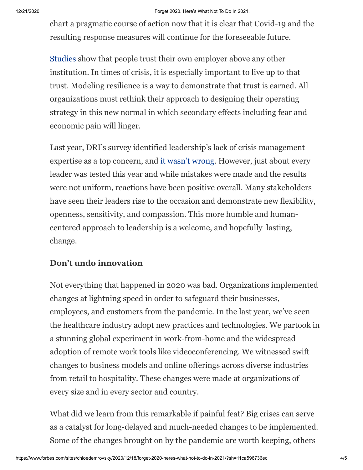#### 12/21/2020 Forget 2020. Here's What Not To Do In 2021.

chart a pragmatic course of action now that it is clear that Covid-19 and the resulting response measures will continue for the foreseeable future.

[Studies](https://www.forbes.com/sites/chloedemrovsky/2020/04/07/no-business-continuity-plan-for-covid-19-start-here/?sh=10819af714ef) show that people trust their own employer above any other institution. In times of crisis, it is especially important to live up to that trust. Modeling resilience is a way to demonstrate that trust is earned. All organizations must rethink their approach to designing their operating strategy in this new normal in which secondary effects including fear and economic pain will linger.

Last year, DRI's survey identified leadership's lack of crisis management expertise as a top concern, and [it wasn't wrong.](https://www.forbes.com/sites/chloedemrovsky/2020/01/15/watch-out-for-these-global-business-risks-in-2020/?sh=20de582b3b6f) However, just about every leader was tested this year and while mistakes were made and the results were not uniform, reactions have been positive overall. Many stakeholders have seen their leaders rise to the occasion and demonstrate new flexibility, openness, sensitivity, and compassion. This more humble and humancentered approach to leadership is a welcome, and hopefully lasting, change.

## **Don't undo innovation**

Not everything that happened in 2020 was bad. Organizations implemented changes at lightning speed in order to safeguard their businesses, employees, and customers from the pandemic. In the last year, we've seen the healthcare industry adopt new practices and technologies. We partook in a stunning global experiment in work-from-home and the widespread adoption of remote work tools like videoconferencing. We witnessed swift changes to business models and online offerings across diverse industries from retail to hospitality. These changes were made at organizations of every size and in every sector and country.

What did we learn from this remarkable if painful feat? Big crises can serve as a catalyst for long-delayed and much-needed changes to be implemented. Some of the changes brought on by the pandemic are worth keeping, others